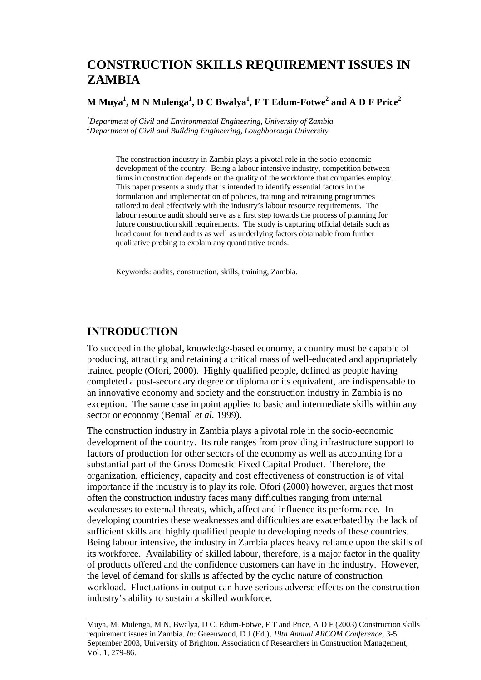# **CONSTRUCTION SKILLS REQUIREMENT ISSUES IN ZAMBIA**

### **M Muya1 , M N Mulenga<sup>1</sup> , D C Bwalya<sup>1</sup> , F T Edum-Fotwe<sup>2</sup> and A D F Price<sup>2</sup>**

*1 Department of Civil and Environmental Engineering, University of Zambia 2 Department of Civil and Building Engineering, Loughborough University* 

> The construction industry in Zambia plays a pivotal role in the socio-economic development of the country. Being a labour intensive industry, competition between firms in construction depends on the quality of the workforce that companies employ. This paper presents a study that is intended to identify essential factors in the formulation and implementation of policies, training and retraining programmes tailored to deal effectively with the industry's labour resource requirements. The labour resource audit should serve as a first step towards the process of planning for future construction skill requirements. The study is capturing official details such as head count for trend audits as well as underlying factors obtainable from further qualitative probing to explain any quantitative trends.

Keywords: audits, construction, skills, training, Zambia.

### **INTRODUCTION**

To succeed in the global, knowledge-based economy, a country must be capable of producing, attracting and retaining a critical mass of well-educated and appropriately trained people (Ofori, 2000). Highly qualified people, defined as people having completed a post-secondary degree or diploma or its equivalent, are indispensable to an innovative economy and society and the construction industry in Zambia is no exception. The same case in point applies to basic and intermediate skills within any sector or economy (Bentall *et al.* 1999).

The construction industry in Zambia plays a pivotal role in the socio-economic development of the country. Its role ranges from providing infrastructure support to factors of production for other sectors of the economy as well as accounting for a substantial part of the Gross Domestic Fixed Capital Product. Therefore, the organization, efficiency, capacity and cost effectiveness of construction is of vital importance if the industry is to play its role. Ofori (2000) however, argues that most often the construction industry faces many difficulties ranging from internal weaknesses to external threats, which, affect and influence its performance. In developing countries these weaknesses and difficulties are exacerbated by the lack of sufficient skills and highly qualified people to developing needs of these countries. Being labour intensive, the industry in Zambia places heavy reliance upon the skills of its workforce. Availability of skilled labour, therefore, is a major factor in the quality of products offered and the confidence customers can have in the industry. However, the level of demand for skills is affected by the cyclic nature of construction workload. Fluctuations in output can have serious adverse effects on the construction industry's ability to sustain a skilled workforce.

Muya, M, Mulenga, M N, Bwalya, D C, Edum-Fotwe, F T and Price, A D F (2003) Construction skills requirement issues in Zambia. *In:* Greenwood, D J (Ed.), *19th Annual ARCOM Conference*, 3-5 September 2003, University of Brighton. Association of Researchers in Construction Management, Vol. 1, 279-86.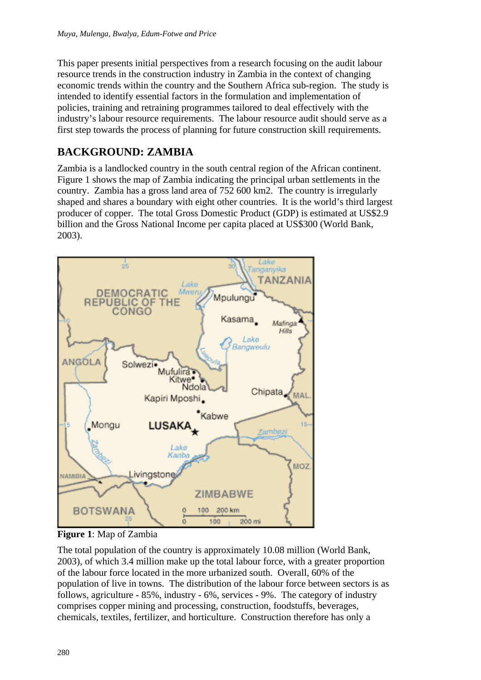This paper presents initial perspectives from a research focusing on the audit labour resource trends in the construction industry in Zambia in the context of changing economic trends within the country and the Southern Africa sub-region. The study is intended to identify essential factors in the formulation and implementation of policies, training and retraining programmes tailored to deal effectively with the industry's labour resource requirements. The labour resource audit should serve as a first step towards the process of planning for future construction skill requirements.

# **BACKGROUND: ZAMBIA**

Zambia is a landlocked country in the south central region of the African continent. Figure 1 shows the map of Zambia indicating the principal urban settlements in the country. Zambia has a gross land area of 752 600 km2. The country is irregularly shaped and shares a boundary with eight other countries. It is the world's third largest producer of copper. The total Gross Domestic Product (GDP) is estimated at US\$2.9 billion and the Gross National Income per capita placed at US\$300 (World Bank, 2003).



**Figure 1**: Map of Zambia

The total population of the country is approximately 10.08 million (World Bank, 2003), of which 3.4 million make up the total labour force, with a greater proportion of the labour force located in the more urbanized south. Overall, 60% of the population of live in towns. The distribution of the labour force between sectors is as follows, agriculture - 85%, industry - 6%, services - 9%. The category of industry comprises copper mining and processing, construction, foodstuffs, beverages, chemicals, textiles, fertilizer, and horticulture. Construction therefore has only a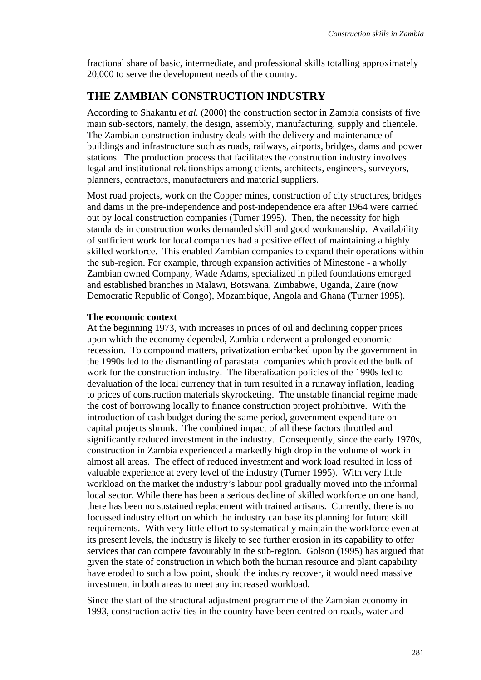fractional share of basic, intermediate, and professional skills totalling approximately 20,000 to serve the development needs of the country.

## **THE ZAMBIAN CONSTRUCTION INDUSTRY**

According to Shakantu *et al.* (2000) the construction sector in Zambia consists of five main sub-sectors, namely, the design, assembly, manufacturing, supply and clientele. The Zambian construction industry deals with the delivery and maintenance of buildings and infrastructure such as roads, railways, airports, bridges, dams and power stations. The production process that facilitates the construction industry involves legal and institutional relationships among clients, architects, engineers, surveyors, planners, contractors, manufacturers and material suppliers.

Most road projects, work on the Copper mines, construction of city structures, bridges and dams in the pre-independence and post-independence era after 1964 were carried out by local construction companies (Turner 1995). Then, the necessity for high standards in construction works demanded skill and good workmanship. Availability of sufficient work for local companies had a positive effect of maintaining a highly skilled workforce. This enabled Zambian companies to expand their operations within the sub-region. For example, through expansion activities of Minestone - a wholly Zambian owned Company, Wade Adams, specialized in piled foundations emerged and established branches in Malawi, Botswana, Zimbabwe, Uganda, Zaire (now Democratic Republic of Congo), Mozambique, Angola and Ghana (Turner 1995).

#### **The economic context**

At the beginning 1973, with increases in prices of oil and declining copper prices upon which the economy depended, Zambia underwent a prolonged economic recession. To compound matters, privatization embarked upon by the government in the 1990s led to the dismantling of parastatal companies which provided the bulk of work for the construction industry. The liberalization policies of the 1990s led to devaluation of the local currency that in turn resulted in a runaway inflation, leading to prices of construction materials skyrocketing. The unstable financial regime made the cost of borrowing locally to finance construction project prohibitive. With the introduction of cash budget during the same period, government expenditure on capital projects shrunk. The combined impact of all these factors throttled and significantly reduced investment in the industry. Consequently, since the early 1970s, construction in Zambia experienced a markedly high drop in the volume of work in almost all areas. The effect of reduced investment and work load resulted in loss of valuable experience at every level of the industry (Turner 1995). With very little workload on the market the industry's labour pool gradually moved into the informal local sector. While there has been a serious decline of skilled workforce on one hand, there has been no sustained replacement with trained artisans. Currently, there is no focussed industry effort on which the industry can base its planning for future skill requirements. With very little effort to systematically maintain the workforce even at its present levels, the industry is likely to see further erosion in its capability to offer services that can compete favourably in the sub-region. Golson (1995) has argued that given the state of construction in which both the human resource and plant capability have eroded to such a low point, should the industry recover, it would need massive investment in both areas to meet any increased workload.

Since the start of the structural adjustment programme of the Zambian economy in 1993, construction activities in the country have been centred on roads, water and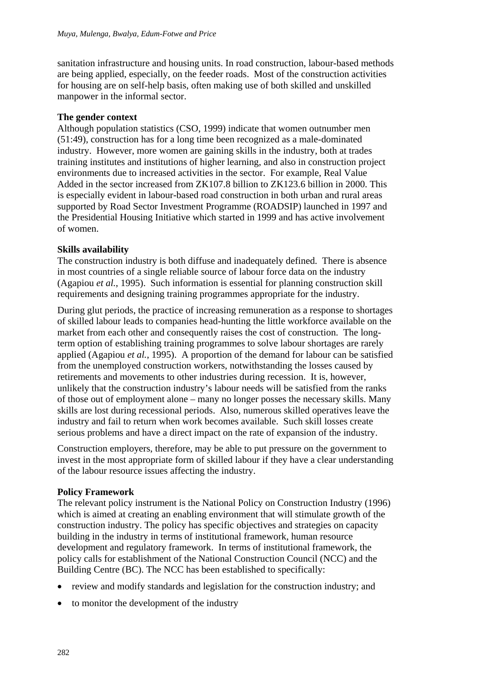sanitation infrastructure and housing units. In road construction, labour-based methods are being applied, especially, on the feeder roads. Most of the construction activities for housing are on self-help basis, often making use of both skilled and unskilled manpower in the informal sector.

#### **The gender context**

Although population statistics (CSO, 1999) indicate that women outnumber men (51:49), construction has for a long time been recognized as a male-dominated industry. However, more women are gaining skills in the industry, both at trades training institutes and institutions of higher learning, and also in construction project environments due to increased activities in the sector. For example, Real Value Added in the sector increased from ZK107.8 billion to ZK123.6 billion in 2000. This is especially evident in labour-based road construction in both urban and rural areas supported by Road Sector Investment Programme (ROADSIP) launched in 1997 and the Presidential Housing Initiative which started in 1999 and has active involvement of women.

### **Skills availability**

The construction industry is both diffuse and inadequately defined. There is absence in most countries of a single reliable source of labour force data on the industry (Agapiou *et al.*, 1995). Such information is essential for planning construction skill requirements and designing training programmes appropriate for the industry.

During glut periods, the practice of increasing remuneration as a response to shortages of skilled labour leads to companies head-hunting the little workforce available on the market from each other and consequently raises the cost of construction. The longterm option of establishing training programmes to solve labour shortages are rarely applied (Agapiou *et al.*, 1995). A proportion of the demand for labour can be satisfied from the unemployed construction workers, notwithstanding the losses caused by retirements and movements to other industries during recession. It is, however, unlikely that the construction industry's labour needs will be satisfied from the ranks of those out of employment alone – many no longer posses the necessary skills. Many skills are lost during recessional periods. Also, numerous skilled operatives leave the industry and fail to return when work becomes available. Such skill losses create serious problems and have a direct impact on the rate of expansion of the industry.

Construction employers, therefore, may be able to put pressure on the government to invest in the most appropriate form of skilled labour if they have a clear understanding of the labour resource issues affecting the industry.

### **Policy Framework**

The relevant policy instrument is the National Policy on Construction Industry (1996) which is aimed at creating an enabling environment that will stimulate growth of the construction industry. The policy has specific objectives and strategies on capacity building in the industry in terms of institutional framework, human resource development and regulatory framework. In terms of institutional framework, the policy calls for establishment of the National Construction Council (NCC) and the Building Centre (BC). The NCC has been established to specifically:

- review and modify standards and legislation for the construction industry; and
- to monitor the development of the industry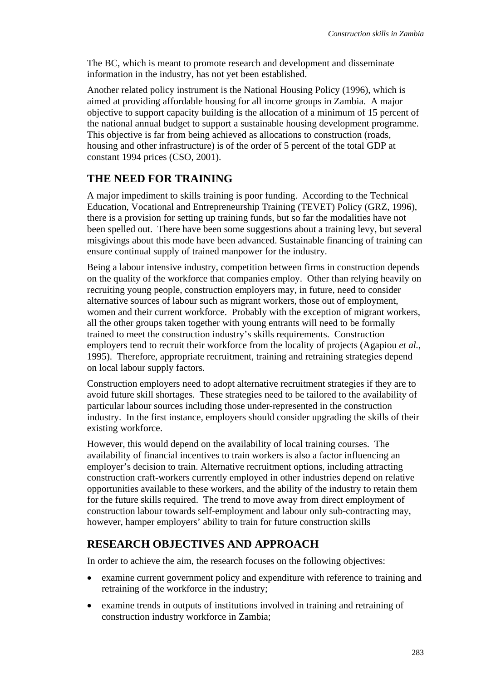The BC, which is meant to promote research and development and disseminate information in the industry, has not yet been established.

Another related policy instrument is the National Housing Policy (1996), which is aimed at providing affordable housing for all income groups in Zambia. A major objective to support capacity building is the allocation of a minimum of 15 percent of the national annual budget to support a sustainable housing development programme. This objective is far from being achieved as allocations to construction (roads, housing and other infrastructure) is of the order of 5 percent of the total GDP at constant 1994 prices (CSO, 2001).

# **THE NEED FOR TRAINING**

A major impediment to skills training is poor funding. According to the Technical Education, Vocational and Entrepreneurship Training (TEVET) Policy (GRZ, 1996), there is a provision for setting up training funds, but so far the modalities have not been spelled out. There have been some suggestions about a training levy, but several misgivings about this mode have been advanced. Sustainable financing of training can ensure continual supply of trained manpower for the industry.

Being a labour intensive industry, competition between firms in construction depends on the quality of the workforce that companies employ. Other than relying heavily on recruiting young people, construction employers may, in future, need to consider alternative sources of labour such as migrant workers, those out of employment, women and their current workforce. Probably with the exception of migrant workers, all the other groups taken together with young entrants will need to be formally trained to meet the construction industry's skills requirements. Construction employers tend to recruit their workforce from the locality of projects (Agapiou *et al.*, 1995). Therefore, appropriate recruitment, training and retraining strategies depend on local labour supply factors.

Construction employers need to adopt alternative recruitment strategies if they are to avoid future skill shortages. These strategies need to be tailored to the availability of particular labour sources including those under-represented in the construction industry. In the first instance, employers should consider upgrading the skills of their existing workforce.

However, this would depend on the availability of local training courses. The availability of financial incentives to train workers is also a factor influencing an employer's decision to train. Alternative recruitment options, including attracting construction craft-workers currently employed in other industries depend on relative opportunities available to these workers, and the ability of the industry to retain them for the future skills required. The trend to move away from direct employment of construction labour towards self-employment and labour only sub-contracting may, however, hamper employers' ability to train for future construction skills

## **RESEARCH OBJECTIVES AND APPROACH**

In order to achieve the aim, the research focuses on the following objectives:

- examine current government policy and expenditure with reference to training and retraining of the workforce in the industry;
- examine trends in outputs of institutions involved in training and retraining of construction industry workforce in Zambia;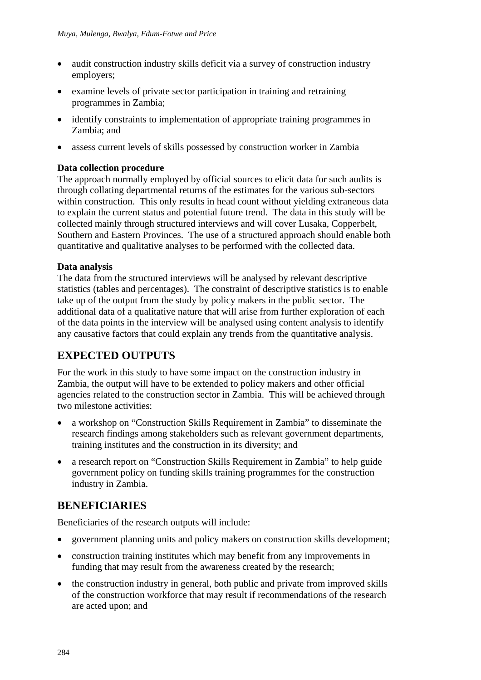- audit construction industry skills deficit via a survey of construction industry employers;
- examine levels of private sector participation in training and retraining programmes in Zambia;
- identify constraints to implementation of appropriate training programmes in Zambia; and
- assess current levels of skills possessed by construction worker in Zambia

#### **Data collection procedure**

The approach normally employed by official sources to elicit data for such audits is through collating departmental returns of the estimates for the various sub-sectors within construction. This only results in head count without yielding extraneous data to explain the current status and potential future trend. The data in this study will be collected mainly through structured interviews and will cover Lusaka, Copperbelt, Southern and Eastern Provinces. The use of a structured approach should enable both quantitative and qualitative analyses to be performed with the collected data.

#### **Data analysis**

The data from the structured interviews will be analysed by relevant descriptive statistics (tables and percentages). The constraint of descriptive statistics is to enable take up of the output from the study by policy makers in the public sector. The additional data of a qualitative nature that will arise from further exploration of each of the data points in the interview will be analysed using content analysis to identify any causative factors that could explain any trends from the quantitative analysis.

## **EXPECTED OUTPUTS**

For the work in this study to have some impact on the construction industry in Zambia, the output will have to be extended to policy makers and other official agencies related to the construction sector in Zambia. This will be achieved through two milestone activities:

- a workshop on "Construction Skills Requirement in Zambia" to disseminate the research findings among stakeholders such as relevant government departments, training institutes and the construction in its diversity; and
- a research report on "Construction Skills Requirement in Zambia" to help guide government policy on funding skills training programmes for the construction industry in Zambia.

## **BENEFICIARIES**

Beneficiaries of the research outputs will include:

- government planning units and policy makers on construction skills development;
- construction training institutes which may benefit from any improvements in funding that may result from the awareness created by the research;
- the construction industry in general, both public and private from improved skills of the construction workforce that may result if recommendations of the research are acted upon; and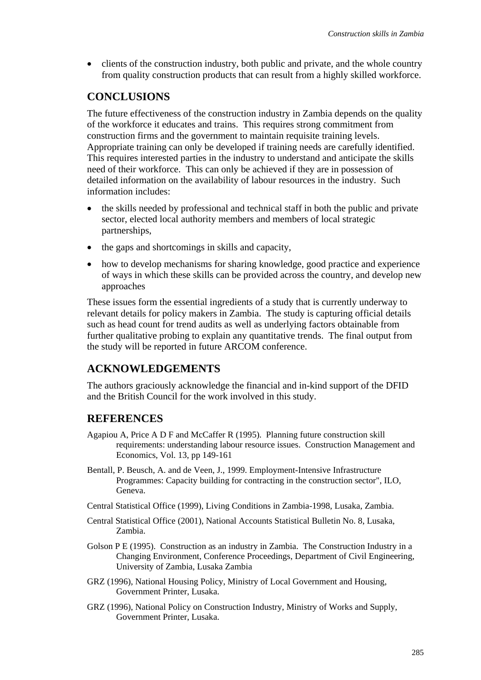• clients of the construction industry, both public and private, and the whole country from quality construction products that can result from a highly skilled workforce.

## **CONCLUSIONS**

The future effectiveness of the construction industry in Zambia depends on the quality of the workforce it educates and trains. This requires strong commitment from construction firms and the government to maintain requisite training levels. Appropriate training can only be developed if training needs are carefully identified. This requires interested parties in the industry to understand and anticipate the skills need of their workforce. This can only be achieved if they are in possession of detailed information on the availability of labour resources in the industry. Such information includes:

- the skills needed by professional and technical staff in both the public and private sector, elected local authority members and members of local strategic partnerships,
- the gaps and shortcomings in skills and capacity,
- how to develop mechanisms for sharing knowledge, good practice and experience of ways in which these skills can be provided across the country, and develop new approaches

These issues form the essential ingredients of a study that is currently underway to relevant details for policy makers in Zambia. The study is capturing official details such as head count for trend audits as well as underlying factors obtainable from further qualitative probing to explain any quantitative trends. The final output from the study will be reported in future ARCOM conference.

## **ACKNOWLEDGEMENTS**

The authors graciously acknowledge the financial and in-kind support of the DFID and the British Council for the work involved in this study.

## **REFERENCES**

- Agapiou A, Price A D F and McCaffer R (1995). Planning future construction skill requirements: understanding labour resource issues. Construction Management and Economics, Vol. 13, pp 149-161
- Bentall, P. Beusch, A. and de Veen, J., 1999. Employment-Intensive Infrastructure Programmes: Capacity building for contracting in the construction sector", ILO, Geneva.
- Central Statistical Office (1999), Living Conditions in Zambia-1998, Lusaka, Zambia.
- Central Statistical Office (2001), National Accounts Statistical Bulletin No. 8, Lusaka, Zambia.
- Golson P E (1995). Construction as an industry in Zambia. The Construction Industry in a Changing Environment, Conference Proceedings, Department of Civil Engineering, University of Zambia, Lusaka Zambia
- GRZ (1996), National Housing Policy, Ministry of Local Government and Housing, Government Printer, Lusaka.
- GRZ (1996), National Policy on Construction Industry, Ministry of Works and Supply, Government Printer, Lusaka.